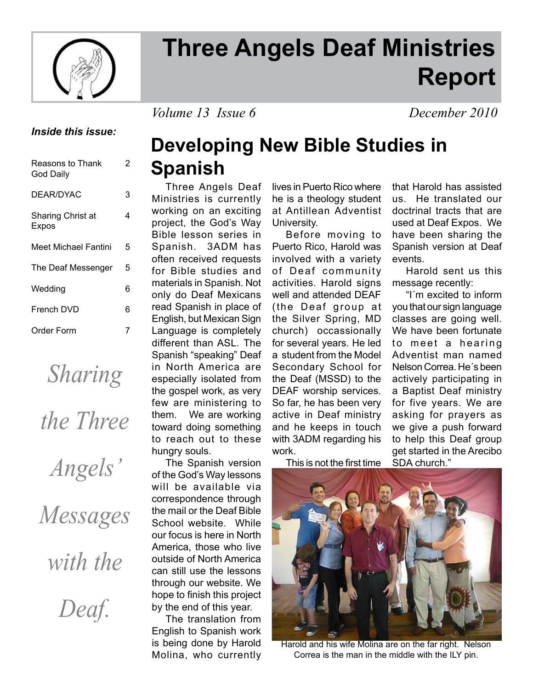

# **Three Angels Deaf Ministries Report**

*Volume 13 Issue 6 December 2010*

## *Inside this issue:*

| 2 |
|---|
| 3 |
| 4 |
| 5 |
| 5 |
| 6 |
| 6 |
| 7 |
|   |

*Sharing* 

| the Three |
|-----------|
|           |

*Angels'* 

*Messages* 

*with the* 

*Deaf.*

# **Developing New Bible Studies in Spanish**

 Three Angels Deaf Ministries is currently working on an exciting project, the God's Way Bible lesson series in Spanish. 3ADM has often received requests for Bible studies and materials in Spanish. Not only do Deaf Mexicans read Spanish in place of English, but Mexican Sign Language is completely different than ASL. The Spanish "speaking" Deaf in North America are especially isolated from the gospel work, as very few are ministering to them. We are working toward doing something to reach out to these hungry souls.

 The Spanish version of the God's Way lessons will be available via correspondence through the mail or the Deaf Bible School website. While our focus is here in North America, those who live outside of North America can still use the lessons through our website. We hope to finish this project by the end of this year.

 The translation from English to Spanish work is being done by Harold Molina, who currently

lives in Puerto Rico where he is a theology student at Antillean Adventist University.

 Before moving to Puerto Rico, Harold was involved with a variety of Deaf community activities. Harold signs well and attended DEAF (the Deaf group at the Silver Spring, MD church) occassionally for several years. He led a student from the Model Secondary School for the Deaf (MSSD) to the DEAF worship services. So far, he has been very active in Deaf ministry and he keeps in touch with 3ADM regarding his work.

This is not the first time

that Harold has assisted us. He translated our doctrinal tracts that are used at Deaf Expos. We have been sharing the Spanish version at Deaf events.

 Harold sent us this message recently:

 "I´m excited to inform you that our sign language classes are going well. We have been fortunate to meet a hearing Adventist man named Nelson Correa. He´s been actively participating in a Baptist Deaf ministry for five years. We are asking for prayers as we give a push forward to help this Deaf group get started in the Arecibo SDA church."



Harold and his wife Molina are on the far right. Nelson Correa is the man in the middle with the ILY pin.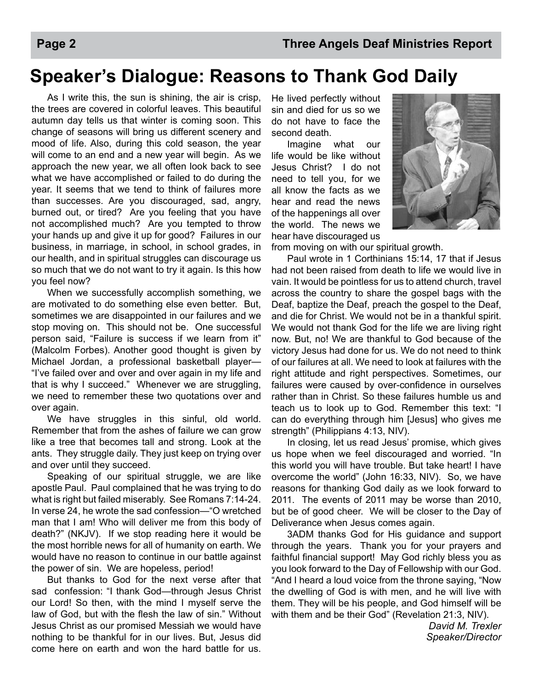# **Speaker's Dialogue: Reasons to Thank God Daily**

 As I write this, the sun is shining, the air is crisp, the trees are covered in colorful leaves. This beautiful autumn day tells us that winter is coming soon. This change of seasons will bring us different scenery and mood of life. Also, during this cold season, the year will come to an end and a new year will begin. As we approach the new year, we all often look back to see what we have accomplished or failed to do during the year. It seems that we tend to think of failures more than successes. Are you discouraged, sad, angry, burned out, or tired? Are you feeling that you have not accomplished much? Are you tempted to throw your hands up and give it up for good? Failures in our business, in marriage, in school, in school grades, in our health, and in spiritual struggles can discourage us so much that we do not want to try it again. Is this how you feel now?

 When we successfully accomplish something, we are motivated to do something else even better. But, sometimes we are disappointed in our failures and we stop moving on. This should not be. One successful person said, "Failure is success if we learn from it" (Malcolm Forbes). Another good thought is given by Michael Jordan, a professional basketball player— "I've failed over and over and over again in my life and that is why I succeed." Whenever we are struggling, we need to remember these two quotations over and over again.

We have struggles in this sinful, old world. Remember that from the ashes of failure we can grow like a tree that becomes tall and strong. Look at the ants. They struggle daily. They just keep on trying over and over until they succeed.

 Speaking of our spiritual struggle, we are like apostle Paul. Paul complained that he was trying to do what is right but failed miserably. See Romans 7:14-24. In verse 24, he wrote the sad confession—"O wretched man that I am! Who will deliver me from this body of death?" (NKJV). If we stop reading here it would be the most horrible news for all of humanity on earth. We would have no reason to continue in our battle against the power of sin. We are hopeless, period!

 But thanks to God for the next verse after that sad confession: "I thank God—through Jesus Christ our Lord! So then, with the mind I myself serve the law of God, but with the flesh the law of sin." Without Jesus Christ as our promised Messiah we would have nothing to be thankful for in our lives. But, Jesus did come here on earth and won the hard battle for us.

He lived perfectly without sin and died for us so we do not have to face the second death.

 Imagine what our life would be like without Jesus Christ? I do not need to tell you, for we all know the facts as we hear and read the news of the happenings all over the world. The news we hear have discouraged us



from moving on with our spiritual growth.

 Paul wrote in 1 Corthinians 15:14, 17 that if Jesus had not been raised from death to life we would live in vain. It would be pointless for us to attend church, travel across the country to share the gospel bags with the Deaf, baptize the Deaf, preach the gospel to the Deaf, and die for Christ. We would not be in a thankful spirit. We would not thank God for the life we are living right now. But, no! We are thankful to God because of the victory Jesus had done for us. We do not need to think of our failures at all. We need to look at failures with the right attitude and right perspectives. Sometimes, our failures were caused by over-confidence in ourselves rather than in Christ. So these failures humble us and teach us to look up to God. Remember this text: "I can do everything through him [Jesus] who gives me strength" (Philippians 4:13, NIV).

 In closing, let us read Jesus' promise, which gives us hope when we feel discouraged and worried. "In this world you will have trouble. But take heart! I have overcome the world" (John 16:33, NIV). So, we have reasons for thanking God daily as we look forward to 2011. The events of 2011 may be worse than 2010, but be of good cheer. We will be closer to the Day of Deliverance when Jesus comes again.

 3ADM thanks God for His guidance and support through the years. Thank you for your prayers and faithful financial support! May God richly bless you as you look forward to the Day of Fellowship with our God. "And I heard a loud voice from the throne saying, "Now the dwelling of God is with men, and he will live with them. They will be his people, and God himself will be with them and be their God" (Revelation 21:3, NIV).

> *David M. Trexler Speaker/Director*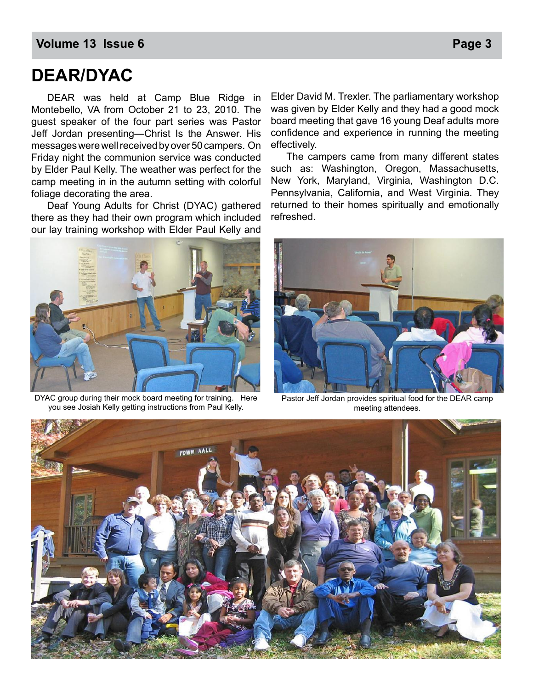## **Volume 13 Issue 6 Page 3**

## **DEAR/DYAC**

 DEAR was held at Camp Blue Ridge in Montebello, VA from October 21 to 23, 2010. The guest speaker of the four part series was Pastor Jeff Jordan presenting—Christ Is the Answer. His messages were well received by over 50 campers. On Friday night the communion service was conducted by Elder Paul Kelly. The weather was perfect for the camp meeting in in the autumn setting with colorful foliage decorating the area.

 Deaf Young Adults for Christ (DYAC) gathered there as they had their own program which included our lay training workshop with Elder Paul Kelly and

Elder David M. Trexler. The parliamentary workshop was given by Elder Kelly and they had a good mock board meeting that gave 16 young Deaf adults more confidence and experience in running the meeting effectively.

 The campers came from many different states such as: Washington, Oregon, Massachusetts, New York, Maryland, Virginia, Washington D.C. Pennsylvania, California, and West Virginia. They returned to their homes spiritually and emotionally refreshed.



DYAC group during their mock board meeting for training. Here you see Josiah Kelly getting instructions from Paul Kelly.



Pastor Jeff Jordan provides spiritual food for the DEAR camp meeting attendees.

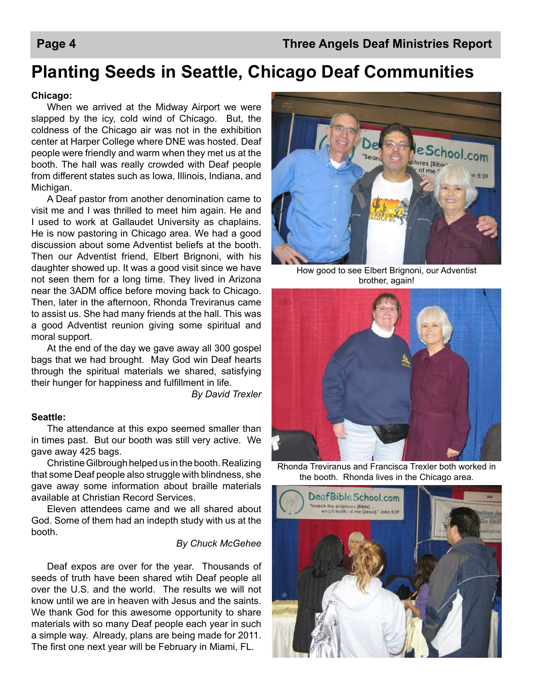# **Planting Seeds in Seattle, Chicago Deaf Communities**

#### **Chicago:**

When we arrived at the Midway Airport we were slapped by the icy, cold wind of Chicago. But, the coldness of the Chicago air was not in the exhibition center at Harper College where DNE was hosted. Deaf people were friendly and warm when they met us at the booth. The hall was really crowded with Deaf people from different states such as Iowa, Illinois, Indiana, and Michigan.

A Deaf pastor from another denomination came to visit me and I was thrilled to meet him again. He and I used to work at Gallaudet University as chaplains. He is now pastoring in Chicago area. We had a good discussion about some Adventist beliefs at the booth. Then our Adventist friend, Elbert Brignoni, with his daughter showed up. It was a good visit since we have not seen them for a long time. They lived in Arizona near the 3ADM office before moving back to Chicago. Then, later in the afternoon, Rhonda Treviranus came to assist us. She had many friends at the hall. This was a good Adventist reunion giving some spiritual and moral support.

 At the end of the day we gave away all 300 gospel bags that we had brought. May God win Deaf hearts through the spiritual materials we shared, satisfying their hunger for happiness and fulfillment in life.

*By David Trexler*

#### **Seattle:**

 The attendance at this expo seemed smaller than in times past. But our booth was still very active. We gave away 425 bags.

 Christine Gilbrough helped us in the booth. Realizing that some Deaf people also struggle with blindness, she gave away some information about braille materials available at Christian Record Services.

 Eleven attendees came and we all shared about God. Some of them had an indepth study with us at the booth.

#### *By Chuck McGehee*

 Deaf expos are over for the year. Thousands of seeds of truth have been shared wtih Deaf people all over the U.S. and the world. The results we will not know until we are in heaven with Jesus and the saints. We thank God for this awesome opportunity to share materials with so many Deaf people each year in such a simple way. Already, plans are being made for 2011. The first one next year will be February in Miami, FL.



How good to see Elbert Brignoni, our Adventist brother, again!



Rhonda Treviranus and Francisca Trexler both worked in the booth. Rhonda lives in the Chicago area.

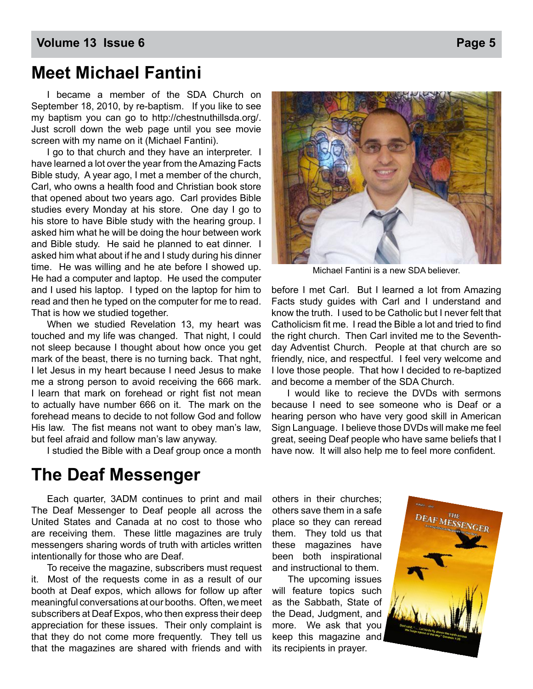## **Volume 13 Issue 6 Page 13 Issue 6** Page 13 Issue 6 Page 13 Issue 6 Page 14 Issue 6 Page 14 Issue 6 Page 14 Issue 6

## **Meet Michael Fantini**

 I became a member of the SDA Church on September 18, 2010, by re-baptism. If you like to see my baptism you can go to http://chestnuthillsda.org/. Just scroll down the web page until you see movie screen with my name on it (Michael Fantini).

I go to that church and they have an interpreter. I have learned a lot over the year from the Amazing Facts Bible study, A year ago, I met a member of the church, Carl, who owns a health food and Christian book store that opened about two years ago. Carl provides Bible studies every Monday at his store. One day I go to his store to have Bible study with the hearing group. I asked him what he will be doing the hour between work and Bible study. He said he planned to eat dinner. I asked him what about if he and I study during his dinner time. He was willing and he ate before I showed up. He had a computer and laptop. He used the computer and I used his laptop. I typed on the laptop for him to read and then he typed on the computer for me to read. That is how we studied together.

 When we studied Revelation 13, my heart was touched and my life was changed. That night, I could not sleep because I thought about how once you get mark of the beast, there is no turning back. That nght, I let Jesus in my heart because I need Jesus to make me a strong person to avoid receiving the 666 mark. I learn that mark on forehead or right fist not mean to actually have number 666 on it. The mark on the forehead means to decide to not follow God and follow His law. The fist means not want to obey man's law. but feel afraid and follow man's law anyway.

I studied the Bible with a Deaf group once a month

## **The Deaf Messenger**

Each quarter, 3ADM continues to print and mail The Deaf Messenger to Deaf people all across the United States and Canada at no cost to those who are receiving them. These little magazines are truly messengers sharing words of truth with articles written intentionally for those who are Deaf.

To receive the magazine, subscribers must request it. Most of the requests come in as a result of our booth at Deaf expos, which allows for follow up after meaningful conversations at our booths. Often, we meet subscribers at Deaf Expos, who then express their deep appreciation for these issues. Their only complaint is that they do not come more frequently. They tell us that the magazines are shared with friends and with



Michael Fantini is a new SDA believer.

before I met Carl. But I learned a lot from Amazing Facts study guides with Carl and I understand and know the truth. I used to be Catholic but I never felt that Catholicism fit me. I read the Bible a lot and tried to find the right church. Then Carl invited me to the Seventhday Adventist Church. People at that church are so friendly, nice, and respectful. I feel very welcome and I love those people. That how I decided to re-baptized and become a member of the SDA Church.

 I would like to recieve the DVDs with sermons because I need to see someone who is Deaf or a hearing person who have very good skill in American Sign Language. I believe those DVDs will make me feel great, seeing Deaf people who have same beliefs that I have now. It will also help me to feel more confident.

others in their churches; others save them in a safe place so they can reread them. They told us that these magazines have been both inspirational and instructional to them.

The upcoming issues will feature topics such as the Sabbath, State of the Dead, Judgment, and more. We ask that you keep this magazine and its recipients in prayer.

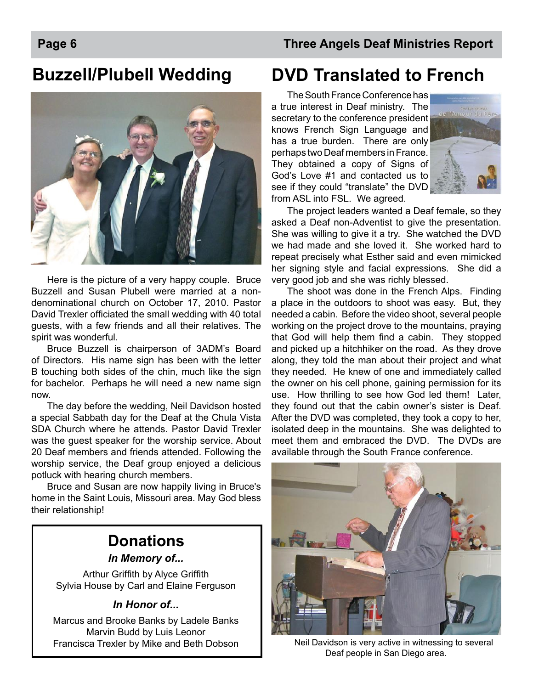# **Buzzell/Plubell Wedding**



Here is the picture of a very happy couple. Bruce Buzzell and Susan Plubell were married at a nondenominational church on October 17, 2010. Pastor David Trexler officiated the small wedding with 40 total guests, with a few friends and all their relatives. The spirit was wonderful.

Bruce Buzzell is chairperson of 3ADM's Board of Directors. His name sign has been with the letter B touching both sides of the chin, much like the sign for bachelor. Perhaps he will need a new name sign now.

The day before the wedding, Neil Davidson hosted a special Sabbath day for the Deaf at the Chula Vista SDA Church where he attends. Pastor David Trexler was the guest speaker for the worship service. About 20 Deaf members and friends attended. Following the worship service, the Deaf group enjoyed a delicious potluck with hearing church members.

Bruce and Susan are now happily living in Bruce's home in the Saint Louis, Missouri area. May God bless their relationship!

## **Donations**

*In Memory of...*

Arthur Griffith by Alyce Griffith Sylvia House by Carl and Elaine Ferguson

## *In Honor of...*

Marcus and Brooke Banks by Ladele Banks Marvin Budd by Luis Leonor Francisca Trexler by Mike and Beth Dobson

# **DVD Translated to French**

The South France Conference has a true interest in Deaf ministry. The secretary to the conference president knows French Sign Language and has a true burden. There are only perhaps two Deaf members in France. They obtained a copy of Signs of God's Love #1 and contacted us to see if they could "translate" the DVD from ASL into FSL. We agreed.



The project leaders wanted a Deaf female, so they asked a Deaf non-Adventist to give the presentation. She was willing to give it a try. She watched the DVD we had made and she loved it. She worked hard to repeat precisely what Esther said and even mimicked her signing style and facial expressions. She did a very good job and she was richly blessed.

The shoot was done in the French Alps. Finding a place in the outdoors to shoot was easy. But, they needed a cabin. Before the video shoot, several people working on the project drove to the mountains, praying that God will help them find a cabin. They stopped and picked up a hitchhiker on the road. As they drove along, they told the man about their project and what they needed. He knew of one and immediately called the owner on his cell phone, gaining permission for its use. How thrilling to see how God led them! Later, they found out that the cabin owner's sister is Deaf. After the DVD was completed, they took a copy to her, isolated deep in the mountains. She was delighted to meet them and embraced the DVD. The DVDs are available through the South France conference.



Neil Davidson is very active in witnessing to several Deaf people in San Diego area.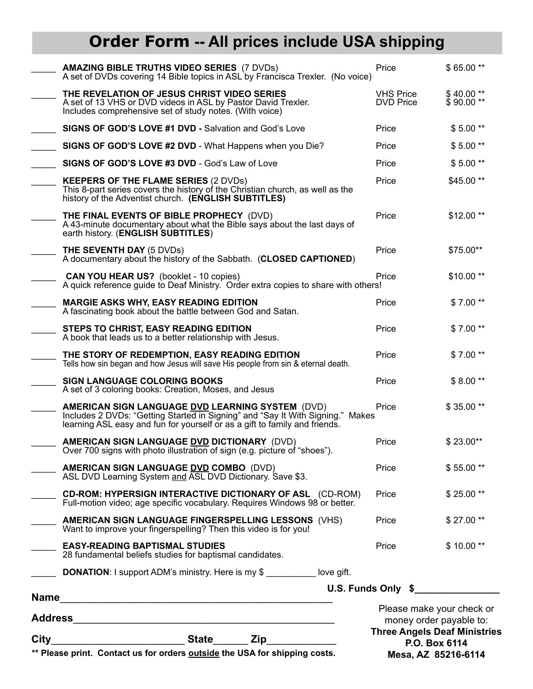# **Order Form -- All prices include USA shipping**

| ** Please print. Contact us for orders outside the USA for shipping costs.                                                                                                                                       |                                      | money order payable to:<br><b>Three Angels Deaf Ministries</b><br>P.O. Box 6114<br>Mesa, AZ 85216-6114 |
|------------------------------------------------------------------------------------------------------------------------------------------------------------------------------------------------------------------|--------------------------------------|--------------------------------------------------------------------------------------------------------|
|                                                                                                                                                                                                                  |                                      | Please make your check or                                                                              |
|                                                                                                                                                                                                                  |                                      | U.S. Funds Only \$                                                                                     |
| 28 fundamental beliefs studies for baptismal candidates.<br><b>DONATION:</b> I support ADM's ministry. Here is my \$ __________ love gift.                                                                       |                                      |                                                                                                        |
| Want to improve your fingerspelling? Then this video is for you!<br><b>EASY-READING BAPTISMAL STUDIES</b>                                                                                                        | Price                                | $$10.00**$                                                                                             |
| Full-motion video; age specific vocabulary. Requires Windows 98 or better.<br><b>AMERICAN SIGN LANGUAGE FINGERSPELLING LESSONS (VHS)</b>                                                                         | Price                                | \$27.00**                                                                                              |
| <b>CD-ROM: HYPERSIGN INTERACTIVE DICTIONARY OF ASL (CD-ROM)</b>                                                                                                                                                  | Price                                | $$25.00**$                                                                                             |
| <b>AMERICAN SIGN LANGUAGE DVD COMBO</b> (DVD)<br>ASL DVD Learning System and ASL DVD Dictionary. Save \$3.                                                                                                       | Price                                | $$55.00**$                                                                                             |
| AMERICAN SIGN LANGUAGE DVD DICTIONARY (DVD)<br>Over 700 signs with photo illustration of sign (e.g. picture of "shoes").                                                                                         | Price                                | $$23.00**$                                                                                             |
| AMERICAN SIGN LANGUAGE DVD LEARNING SYSTEM (DVD)<br>Includes 2 DVDs: "Getting Started in Signing" and "Say It With Signing." Makes<br>learning ASL easy and fun for yourself or as a gift to family and friends. | Price                                | \$35.00**                                                                                              |
| <b>SIGN LANGUAGE COLORING BOOKS</b><br>A set of 3 coloring books: Creation, Moses, and Jesus                                                                                                                     | Price                                | $$8.00**$                                                                                              |
| THE STORY OF REDEMPTION, EASY READING EDITION<br>Tells how sin began and how Jesus will save His people from sin & eternal death.                                                                                | Price                                | $$7.00**$                                                                                              |
| STEPS TO CHRIST, EASY READING EDITION<br>A book that leads us to a better relationship with Jesus.                                                                                                               | Price                                | $$7.00**$                                                                                              |
| <b>MARGIE ASKS WHY, EASY READING EDITION</b><br>A fascinating book about the battle between God and Satan.                                                                                                       | Price                                | $$7.00**$                                                                                              |
| <b>CAN YOU HEAR US?</b> (booklet - 10 copies)<br>A quick reference guide to Deaf Ministry. Order extra copies to share with others!                                                                              | Price                                | $$10.00**$                                                                                             |
| THE SEVENTH DAY (5 DVDs)<br>A documentary about the history of the Sabbath. (CLOSED CAPTIONED)                                                                                                                   | Price                                | \$75.00**                                                                                              |
| THE FINAL EVENTS OF BIBLE PROPHECY (DVD)<br>A 43-minute documentary about what the Bible says about the last days of<br>earth history. (ENGLISH SUBTITLES)                                                       | Price                                | $$12.00**$                                                                                             |
| <b>KEEPERS OF THE FLAME SERIES (2 DVDs)</b><br>This 8-part series covers the history of the Christian church, as well as the<br>history of the Adventist church. (ENGLISH SUBTITLES)                             | Price                                | \$45.00**                                                                                              |
| SIGNS OF GOD'S LOVE #3 DVD - God's Law of Love                                                                                                                                                                   | Price                                | $$5.00**$                                                                                              |
| SIGNS OF GOD'S LOVE #2 DVD - What Happens when you Die?                                                                                                                                                          | Price                                | $$5.00**$                                                                                              |
| SIGNS OF GOD'S LOVE #1 DVD - Salvation and God's Love                                                                                                                                                            | Price                                | $$5.00**$                                                                                              |
| THE REVELATION OF JESUS CHRIST VIDEO SERIES<br>A set of 13 VHS or DVD videos in ASL by Pastor David Trexler.<br>Includes comprehensive set of study notes. (With voice)                                          | <b>VHS Price</b><br><b>DVD Price</b> | \$40.00**<br>\$90.00**                                                                                 |
| <b>AMAZING BIBLE TRUTHS VIDEO SERIES (7 DVDs)</b><br>A set of DVDs covering 14 Bible topics in ASL by Francisca Trexler. (No voice)                                                                              | Price                                | \$65.00**                                                                                              |